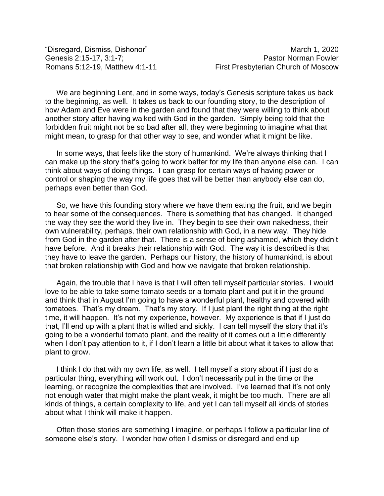We are beginning Lent, and in some ways, today's Genesis scripture takes us back to the beginning, as well. It takes us back to our founding story, to the description of how Adam and Eve were in the garden and found that they were willing to think about another story after having walked with God in the garden. Simply being told that the forbidden fruit might not be so bad after all, they were beginning to imagine what that might mean, to grasp for that other way to see, and wonder what it might be like.

In some ways, that feels like the story of humankind. We're always thinking that I can make up the story that's going to work better for my life than anyone else can. I can think about ways of doing things. I can grasp for certain ways of having power or control or shaping the way my life goes that will be better than anybody else can do, perhaps even better than God.

So, we have this founding story where we have them eating the fruit, and we begin to hear some of the consequences. There is something that has changed. It changed the way they see the world they live in. They begin to see their own nakedness, their own vulnerability, perhaps, their own relationship with God, in a new way. They hide from God in the garden after that. There is a sense of being ashamed, which they didn't have before. And it breaks their relationship with God. The way it is described is that they have to leave the garden. Perhaps our history, the history of humankind, is about that broken relationship with God and how we navigate that broken relationship.

Again, the trouble that I have is that I will often tell myself particular stories. I would love to be able to take some tomato seeds or a tomato plant and put it in the ground and think that in August I'm going to have a wonderful plant, healthy and covered with tomatoes. That's my dream. That's my story. If I just plant the right thing at the right time, it will happen. It's not my experience, however. My experience is that if I just do that, I'll end up with a plant that is wilted and sickly. I can tell myself the story that it's going to be a wonderful tomato plant, and the reality of it comes out a little differently when I don't pay attention to it, if I don't learn a little bit about what it takes to allow that plant to grow.

I think I do that with my own life, as well. I tell myself a story about if I just do a particular thing, everything will work out. I don't necessarily put in the time or the learning, or recognize the complexities that are involved. I've learned that it's not only not enough water that might make the plant weak, it might be too much. There are all kinds of things, a certain complexity to life, and yet I can tell myself all kinds of stories about what I think will make it happen.

Often those stories are something I imagine, or perhaps I follow a particular line of someone else's story. I wonder how often I dismiss or disregard and end up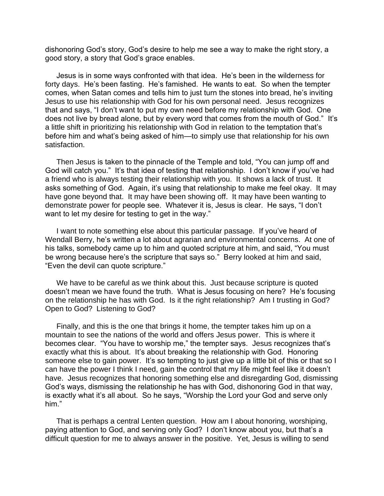dishonoring God's story, God's desire to help me see a way to make the right story, a good story, a story that God's grace enables.

Jesus is in some ways confronted with that idea. He's been in the wilderness for forty days. He's been fasting. He's famished. He wants to eat. So when the tempter comes, when Satan comes and tells him to just turn the stones into bread, he's inviting Jesus to use his relationship with God for his own personal need. Jesus recognizes that and says, "I don't want to put my own need before my relationship with God. One does not live by bread alone, but by every word that comes from the mouth of God." It's a little shift in prioritizing his relationship with God in relation to the temptation that's before him and what's being asked of him—to simply use that relationship for his own satisfaction.

Then Jesus is taken to the pinnacle of the Temple and told, "You can jump off and God will catch you." It's that idea of testing that relationship. I don't know if you've had a friend who is always testing their relationship with you. It shows a lack of trust. It asks something of God. Again, it's using that relationship to make me feel okay. It may have gone beyond that. It may have been showing off. It may have been wanting to demonstrate power for people see. Whatever it is, Jesus is clear. He says, "I don't want to let my desire for testing to get in the way."

I want to note something else about this particular passage. If you've heard of Wendall Berry, he's written a lot about agrarian and environmental concerns. At one of his talks, somebody came up to him and quoted scripture at him, and said, "You must be wrong because here's the scripture that says so." Berry looked at him and said, "Even the devil can quote scripture."

We have to be careful as we think about this. Just because scripture is quoted doesn't mean we have found the truth. What is Jesus focusing on here? He's focusing on the relationship he has with God. Is it the right relationship? Am I trusting in God? Open to God? Listening to God?

Finally, and this is the one that brings it home, the tempter takes him up on a mountain to see the nations of the world and offers Jesus power. This is where it becomes clear. "You have to worship me," the tempter says. Jesus recognizes that's exactly what this is about. It's about breaking the relationship with God. Honoring someone else to gain power. It's so tempting to just give up a little bit of this or that so I can have the power I think I need, gain the control that my life might feel like it doesn't have. Jesus recognizes that honoring something else and disregarding God, dismissing God's ways, dismissing the relationship he has with God, dishonoring God in that way, is exactly what it's all about. So he says, "Worship the Lord your God and serve only him."

That is perhaps a central Lenten question. How am I about honoring, worshiping, paying attention to God, and serving only God? I don't know about you, but that's a difficult question for me to always answer in the positive. Yet, Jesus is willing to send